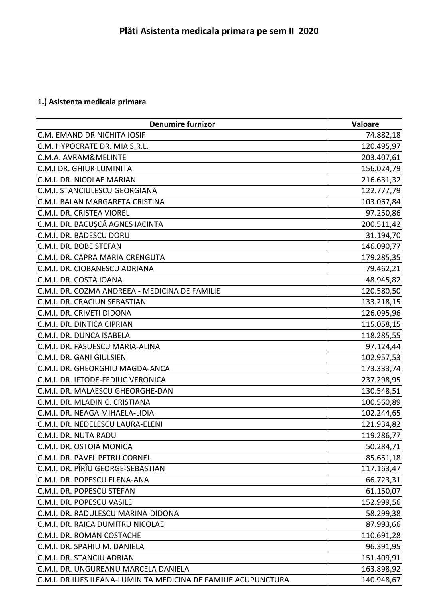## **1.) Asistenta medicala primara**

| <b>Denumire furnizor</b>                                        | <b>Valoare</b> |
|-----------------------------------------------------------------|----------------|
| C.M. EMAND DR.NICHITA IOSIF                                     | 74.882,18      |
| C.M. HYPOCRATE DR. MIA S.R.L.                                   | 120.495,97     |
| <b>C.M.A. AVRAM&amp;MELINTE</b>                                 | 203.407,61     |
| <b>C.M.I DR. GHIUR LUMINITA</b>                                 | 156.024,79     |
| C.M.I. DR. NICOLAE MARIAN                                       | 216.631,32     |
| C.M.I. STANCIULESCU GEORGIANA                                   | 122.777,79     |
| C.M.I. BALAN MARGARETA CRISTINA                                 | 103.067,84     |
| <b>C.M.I. DR. CRISTEA VIOREL</b>                                | 97.250,86      |
| C.M.I. DR. BACUŞCĂ AGNES IACINTA                                | 200.511,42     |
| C.M.I. DR. BADESCU DORU                                         | 31.194,70      |
| C.M.I. DR. BOBE STEFAN                                          | 146.090,77     |
| C.M.I. DR. CAPRA MARIA-CRENGUTA                                 | 179.285,35     |
| C.M.I. DR. CIOBANESCU ADRIANA                                   | 79.462,21      |
| C.M.I. DR. COSTA IOANA                                          | 48.945,82      |
| C.M.I. DR. COZMA ANDREEA - MEDICINA DE FAMILIE                  | 120.580,50     |
| C.M.I. DR. CRACIUN SEBASTIAN                                    | 133.218,15     |
| C.M.I. DR. CRIVETI DIDONA                                       | 126.095,96     |
| C.M.I. DR. DINTICA CIPRIAN                                      | 115.058,15     |
| C.M.I. DR. DUNCA ISABELA                                        | 118.285,55     |
| C.M.I. DR. FASUESCU MARIA-ALINA                                 | 97.124,44      |
| C.M.I. DR. GANI GIULSIEN                                        | 102.957,53     |
| C.M.I. DR. GHEORGHIU MAGDA-ANCA                                 | 173.333,74     |
| C.M.I. DR. IFTODE-FEDIUC VERONICA                               | 237.298,95     |
| C.M.I. DR. MALAESCU GHEORGHE-DAN                                | 130.548,51     |
| C.M.I. DR. MLADIN C. CRISTIANA                                  | 100.560,89     |
| C.M.I. DR. NEAGA MIHAELA-LIDIA                                  | 102.244,65     |
| C.M.I. DR. NEDELESCU LAURA-ELENI                                | 121.934,82     |
| C.M.I. DR. NUTA RADU                                            | 119.286,77     |
| C.M.I. DR. OSTOIA MONICA                                        | 50.284,71      |
| C.M.I. DR. PAVEL PETRU CORNEL                                   | 85.651,18      |
| C.M.I. DR. PÎRÎU GEORGE-SEBASTIAN                               | 117.163,47     |
| C.M.I. DR. POPESCU ELENA-ANA                                    | 66.723,31      |
| C.M.I. DR. POPESCU STEFAN                                       | 61.150,07      |
| C.M.I. DR. POPESCU VASILE                                       | 152.999,56     |
| C.M.I. DR. RADULESCU MARINA-DIDONA                              | 58.299,38      |
| C.M.I. DR. RAICA DUMITRU NICOLAE                                | 87.993,66      |
| C.M.I. DR. ROMAN COSTACHE                                       | 110.691,28     |
| C.M.I. DR. SPAHIU M. DANIELA                                    | 96.391,95      |
| C.M.I. DR. STANCIU ADRIAN                                       | 151.409,91     |
| C.M.I. DR. UNGUREANU MARCELA DANIELA                            | 163.898,92     |
| C.M.I. DR.ILIES ILEANA-LUMINITA MEDICINA DE FAMILIE ACUPUNCTURA | 140.948,67     |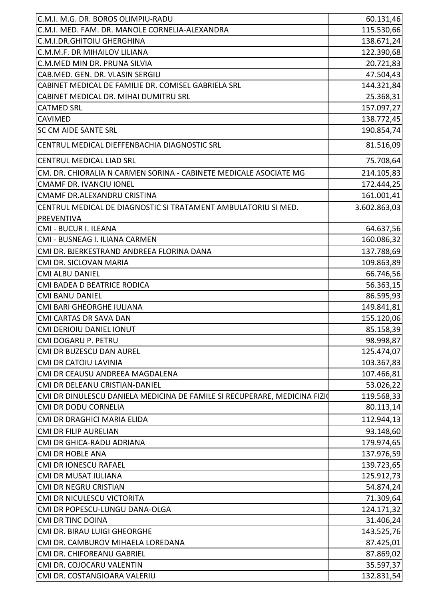| C.M.I. M.G. DR. BOROS OLIMPIU-RADU                                        | 60.131,46    |
|---------------------------------------------------------------------------|--------------|
| C.M.I. MED. FAM. DR. MANOLE CORNELIA-ALEXANDRA                            | 115.530,66   |
| C.M.I.DR.GHITOIU GHERGHINA                                                | 138.671,24   |
| C.M.M.F. DR MIHAILOV LILIANA                                              | 122.390,68   |
| C.M.MED MIN DR. PRUNA SILVIA                                              | 20.721,83    |
| CAB.MED. GEN. DR. VLASIN SERGIU                                           | 47.504,43    |
| CABINET MEDICAL DE FAMILIE DR. COMISEL GABRIELA SRL                       | 144.321,84   |
| CABINET MEDICAL DR. MIHAI DUMITRU SRL                                     | 25.368,31    |
| <b>CATMED SRL</b>                                                         | 157.097,27   |
| <b>CAVIMED</b>                                                            | 138.772,45   |
| <b>SC CM AIDE SANTE SRL</b>                                               | 190.854,74   |
| CENTRUL MEDICAL DIEFFENBACHIA DIAGNOSTIC SRL                              | 81.516,09    |
| CENTRUL MEDICAL LIAD SRL                                                  | 75.708,64    |
| CM. DR. CHIORALIA N CARMEN SORINA - CABINETE MEDICALE ASOCIATE MG         | 214.105,83   |
| <b>CMAMF DR. IVANCIU IONEL</b>                                            | 172.444,25   |
| CMAMF DR.ALEXANDRU CRISTINA                                               | 161.001,41   |
| CENTRUL MEDICAL DE DIAGNOSTIC SI TRATAMENT AMBULATORIU SI MED.            | 3.602.863,03 |
| PREVENTIVA                                                                |              |
| CMI - BUCUR I. ILEANA                                                     | 64.637,56    |
| CMI - BUSNEAG I. ILIANA CARMEN                                            | 160.086,32   |
| CMI DR. BJERKESTRAND ANDREEA FLORINA DANA                                 | 137.788,69   |
| CMI DR. SICLOVAN MARIA                                                    | 109.863,89   |
| <b>CMI ALBU DANIEL</b>                                                    | 66.746,56    |
| CMI BADEA D BEATRICE RODICA                                               | 56.363,15    |
| <b>CMI BANU DANIEL</b>                                                    | 86.595,93    |
| CMI BARI GHEORGHE IULIANA                                                 | 149.841,81   |
| CMI CARTAS DR SAVA DAN                                                    | 155.120,06   |
| <b>CMI DERIOIU DANIEL IONUT</b>                                           | 85.158,39    |
| CMI DOGARU P. PETRU                                                       | 98.998,87    |
| CMI DR BUZESCU DAN AUREL                                                  | 125.474,07   |
| <b>CMI DR CATOIU LAVINIA</b>                                              | 103.367,83   |
| CMI DR CEAUSU ANDREEA MAGDALENA                                           | 107.466,81   |
| CMI DR DELEANU CRISTIAN-DANIEL                                            | 53.026,22    |
| CMI DR DINULESCU DANIELA MEDICINA DE FAMILE SI RECUPERARE, MEDICINA FIZIO | 119.568,33   |
| <b>CMI DR DODU CORNELIA</b>                                               | 80.113,14    |
| CMI DR DRAGHICI MARIA ELIDA                                               | 112.944,13   |
| <b>CMI DR FILIP AURELIAN</b>                                              | 93.148,60    |
| CMI DR GHICA-RADU ADRIANA                                                 | 179.974,65   |
| <b>CMI DR HOBLE ANA</b>                                                   | 137.976,59   |
| <b>CMI DR IONESCU RAFAEL</b>                                              | 139.723,65   |
| <b>CMI DR MUSAT IULIANA</b>                                               | 125.912,73   |
| <b>CMI DR NEGRU CRISTIAN</b>                                              | 54.874,24    |
| CMI DR NICULESCU VICTORITA                                                | 71.309,64    |
| CMI DR POPESCU-LUNGU DANA-OLGA                                            | 124.171,32   |
| <b>CMI DR TINC DOINA</b>                                                  | 31.406,24    |
| CMI DR. BIRAU LUIGI GHEORGHE                                              | 143.525,76   |
| CMI DR. CAMBUROV MIHAELA LOREDANA                                         | 87.425,01    |
| CMI DR. CHIFOREANU GABRIEL                                                | 87.869,02    |
| CMI DR. COJOCARU VALENTIN                                                 | 35.597,37    |
| CMI DR. COSTANGIOARA VALERIU                                              | 132.831,54   |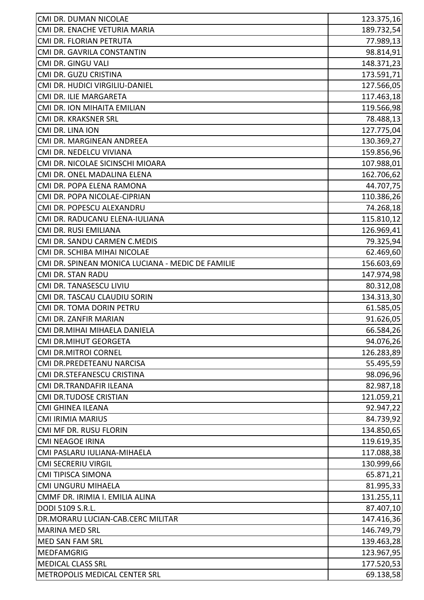| CMI DR. DUMAN NICOLAE                             | 123.375,16 |
|---------------------------------------------------|------------|
| CMI DR. ENACHE VETURIA MARIA                      | 189.732,54 |
| CMI DR. FLORIAN PETRUTA                           | 77.989,13  |
| CMI DR. GAVRILA CONSTANTIN                        | 98.814,91  |
| CMI DR. GINGU VALI                                | 148.371,23 |
| CMI DR. GUZU CRISTINA                             | 173.591,71 |
| CMI DR. HUDICI VIRGILIU-DANIEL                    | 127.566,05 |
| CMI DR. ILIE MARGARETA                            | 117.463,18 |
| CMI DR. ION MIHAITA EMILIAN                       | 119.566,98 |
| CMI DR. KRAKSNER SRL                              | 78.488,13  |
| CMI DR. LINA ION                                  | 127.775,04 |
| CMI DR. MARGINEAN ANDREEA                         | 130.369,27 |
| CMI DR. NEDELCU VIVIANA                           | 159.856,96 |
| CMI DR. NICOLAE SICINSCHI MIOARA                  | 107.988,01 |
| CMI DR. ONEL MADALINA ELENA                       | 162.706,62 |
| CMI DR. POPA ELENA RAMONA                         | 44.707,75  |
| CMI DR. POPA NICOLAE-CIPRIAN                      | 110.386,26 |
| CMI DR. POPESCU ALEXANDRU                         | 74.268,18  |
| CMI DR. RADUCANU ELENA-IULIANA                    | 115.810,12 |
| CMI DR. RUSI EMILIANA                             | 126.969,41 |
| CMI DR. SANDU CARMEN C.MEDIS                      | 79.325,94  |
| CMI DR. SCHIBA MIHAI NICOLAE                      | 62.469,60  |
| CMI DR. SPINEAN MONICA LUCIANA - MEDIC DE FAMILIE | 156.603,69 |
| <b>CMI DR. STAN RADU</b>                          | 147.974,98 |
| CMI DR. TANASESCU LIVIU                           | 80.312,08  |
| CMI DR. TASCAU CLAUDIU SORIN                      | 134.313,30 |
| CMI DR. TOMA DORIN PETRU                          | 61.585,05  |
| CMI DR. ZANFIR MARIAN                             | 91.626,05  |
| CMI DR.MIHAI MIHAELA DANIELA                      | 66.584,26  |
| <b>CMI DR.MIHUT GEORGETA</b>                      | 94.076,26  |
| <b>CMI DR.MITROI CORNEL</b>                       | 126.283,89 |
| CMI DR.PREDETEANU NARCISA                         | 55.495,59  |
| CMI DR.STEFANESCU CRISTINA                        | 98.096,96  |
| CMI DR.TRANDAFIR ILEANA                           | 82.987,18  |
| CMI DR.TUDOSE CRISTIAN                            | 121.059,21 |
| <b>CMI GHINEA ILEANA</b>                          | 92.947,22  |
| <b>CMI IRIMIA MARIUS</b>                          | 84.739,92  |
| CMI MF DR. RUSU FLORIN                            | 134.850,65 |
| <b>CMI NEAGOE IRINA</b>                           | 119.619,35 |
| CMI PASLARU IULIANA-MIHAELA                       | 117.088,38 |
| <b>CMI SECRERIU VIRGIL</b>                        | 130.999,66 |
| <b>CMI TIPISCA SIMONA</b>                         | 65.871,21  |
| CMI UNGURU MIHAELA                                | 81.995,33  |
| CMMF DR. IRIMIA I. EMILIA ALINA                   | 131.255,11 |
| DODI 5109 S.R.L.                                  | 87.407,10  |
| DR.MORARU LUCIAN-CAB.CERC MILITAR                 | 147.416,36 |
| <b>MARINA MED SRL</b>                             | 146.749,79 |
| MED SAN FAM SRL                                   | 139.463,28 |
| <b>MEDFAMGRIG</b>                                 | 123.967,95 |
| <b>MEDICAL CLASS SRL</b>                          | 177.520,53 |
| METROPOLIS MEDICAL CENTER SRL                     | 69.138,58  |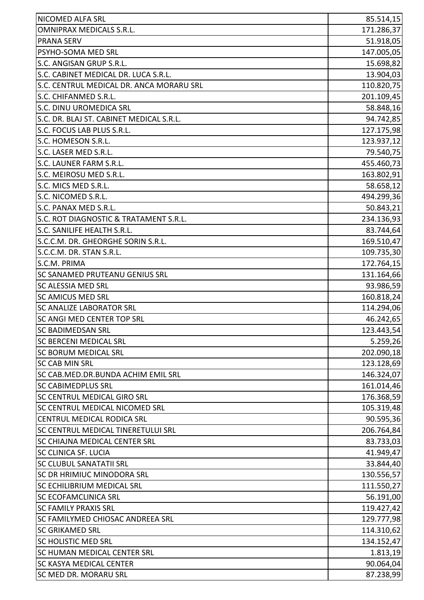| <b>NICOMED ALFA SRL</b>                   | 85.514,15  |
|-------------------------------------------|------------|
| <b>OMNIPRAX MEDICALS S.R.L.</b>           | 171.286,37 |
| <b>PRANA SERV</b>                         | 51.918,05  |
| PSYHO-SOMA MED SRL                        | 147.005,05 |
| S.C. ANGISAN GRUP S.R.L.                  | 15.698,82  |
| S.C. CABINET MEDICAL DR. LUCA S.R.L.      | 13.904,03  |
| S.C. CENTRUL MEDICAL DR. ANCA MORARU SRL  | 110.820,75 |
| S.C. CHIFANMED S.R.L.                     | 201.109,45 |
| <b>S.C. DINU UROMEDICA SRL</b>            | 58.848,16  |
| S.C. DR. BLAJ ST. CABINET MEDICAL S.R.L.  | 94.742,85  |
| S.C. FOCUS LAB PLUS S.R.L.                | 127.175,98 |
| S.C. HOMESON S.R.L.                       | 123.937,12 |
| S.C. LASER MED S.R.L.                     | 79.540,75  |
| S.C. LAUNER FARM S.R.L.                   | 455.460,73 |
| S.C. MEIROSU MED S.R.L.                   | 163.802,91 |
| S.C. MICS MED S.R.L.                      | 58.658,12  |
| S.C. NICOMED S.R.L.                       | 494.299,36 |
| S.C. PANAX MED S.R.L.                     | 50.843,21  |
| S.C. ROT DIAGNOSTIC & TRATAMENT S.R.L.    | 234.136,93 |
| S.C. SANILIFE HEALTH S.R.L.               | 83.744,64  |
| S.C.C.M. DR. GHEORGHE SORIN S.R.L.        | 169.510,47 |
| S.C.C.M. DR. STAN S.R.L.                  | 109.735,30 |
| S.C.M. PRIMA                              | 172.764,15 |
| <b>SC SANAMED PRUTEANU GENIUS SRL</b>     | 131.164,66 |
| <b>SC ALESSIA MED SRL</b>                 | 93.986,59  |
| <b>SC AMICUS MED SRL</b>                  | 160.818,24 |
| <b>SC ANALIZE LABORATOR SRL</b>           | 114.294,06 |
| <b>SC ANGI MED CENTER TOP SRL</b>         | 46.242,65  |
| SC BADIMEDSAN SRL                         | 123.443,54 |
| <b>SC BERCENI MEDICAL SRL</b>             | 5.259,26   |
| <b>SC BORUM MEDICAL SRL</b>               | 202.090,18 |
| <b>SC CAB MIN SRL</b>                     | 123.128,69 |
| SC CAB.MED.DR.BUNDA ACHIM EMIL SRL        | 146.324,07 |
| <b>SC CABIMEDPLUS SRL</b>                 | 161.014,46 |
| SC CENTRUL MEDICAL GIRO SRL               | 176.368,59 |
| SC CENTRUL MEDICAL NICOMED SRL            | 105.319,48 |
| <b>CENTRUL MEDICAL RODICA SRL</b>         | 90.595,36  |
| <b>SC CENTRUL MEDICAL TINERETULUI SRL</b> | 206.764,84 |
| <b>SC CHIAJNA MEDICAL CENTER SRL</b>      | 83.733,03  |
| <b>SC CLINICA SF. LUCIA</b>               | 41.949,47  |
| <b>SC CLUBUL SANATATII SRL</b>            | 33.844,40  |
| <b>SC DR HRIMIUC MINODORA SRL</b>         | 130.556,57 |
| <b>SC ECHILIBRIUM MEDICAL SRL</b>         | 111.550,27 |
| <b>SC ECOFAMCLINICA SRL</b>               | 56.191,00  |
| <b>SC FAMILY PRAXIS SRL</b>               | 119.427,42 |
| SC FAMILYMED CHIOSAC ANDREEA SRL          | 129.777,98 |
| <b>SC GRIKAMED SRL</b>                    | 114.310,62 |
| <b>SC HOLISTIC MED SRL</b>                | 134.152,47 |
| <b>SC HUMAN MEDICAL CENTER SRL</b>        | 1.813,19   |
| <b>SC KASYA MEDICAL CENTER</b>            | 90.064,04  |
| SC MED DR. MORARU SRL                     | 87.238,99  |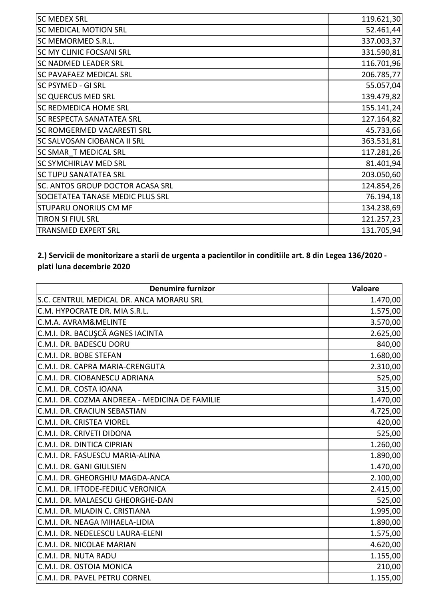| 119.621,30 |
|------------|
| 52.461,44  |
| 337.003,37 |
| 331.590,81 |
| 116.701,96 |
| 206.785,77 |
| 55.057,04  |
| 139.479,82 |
| 155.141,24 |
| 127.164,82 |
| 45.733,66  |
| 363.531,81 |
| 117.281,26 |
| 81.401,94  |
| 203.050,60 |
| 124.854,26 |
| 76.194,18  |
| 134.238,69 |
| 121.257,23 |
| 131.705,94 |
|            |

## **2.) Servicii de monitorizare a starii de urgenta a pacientilor in conditiile art. 8 din Legea 136/2020 plati luna decembrie 2020**

| <b>Denumire furnizor</b>                       | Valoare  |
|------------------------------------------------|----------|
| S.C. CENTRUL MEDICAL DR. ANCA MORARU SRL       | 1.470,00 |
| C.M. HYPOCRATE DR. MIA S.R.L.                  | 1.575,00 |
| C.M.A. AVRAM&MELINTE                           | 3.570,00 |
| C.M.I. DR. BACUŞCĂ AGNES IACINTA               | 2.625,00 |
| C.M.I. DR. BADESCU DORU                        | 840,00   |
| C.M.I. DR. BOBE STEFAN                         | 1.680,00 |
| C.M.I. DR. CAPRA MARIA-CRENGUTA                | 2.310,00 |
| C.M.I. DR. CIOBANESCU ADRIANA                  | 525,00   |
| C.M.I. DR. COSTA IOANA                         | 315,00   |
| C.M.I. DR. COZMA ANDREEA - MEDICINA DE FAMILIE | 1.470,00 |
| C.M.I. DR. CRACIUN SEBASTIAN                   | 4.725,00 |
| C.M.I. DR. CRISTEA VIOREL                      | 420,00   |
| C.M.I. DR. CRIVETI DIDONA                      | 525,00   |
| C.M.I. DR. DINTICA CIPRIAN                     | 1.260,00 |
| C.M.I. DR. FASUESCU MARIA-ALINA                | 1.890,00 |
| C.M.I. DR. GANI GIULSIEN                       | 1.470,00 |
| C.M.I. DR. GHEORGHIU MAGDA-ANCA                | 2.100,00 |
| C.M.I. DR. IFTODE-FEDIUC VERONICA              | 2.415,00 |
| C.M.I. DR. MALAESCU GHEORGHE-DAN               | 525,00   |
| C.M.I. DR. MLADIN C. CRISTIANA                 | 1.995,00 |
| C.M.I. DR. NEAGA MIHAELA-LIDIA                 | 1.890,00 |
| C.M.I. DR. NEDELESCU LAURA-ELENI               | 1.575,00 |
| C.M.I. DR. NICOLAE MARIAN                      | 4.620,00 |
| C.M.I. DR. NUTA RADU                           | 1.155,00 |
| C.M.I. DR. OSTOIA MONICA                       | 210,00   |
| C.M.I. DR. PAVEL PETRU CORNEL                  | 1.155,00 |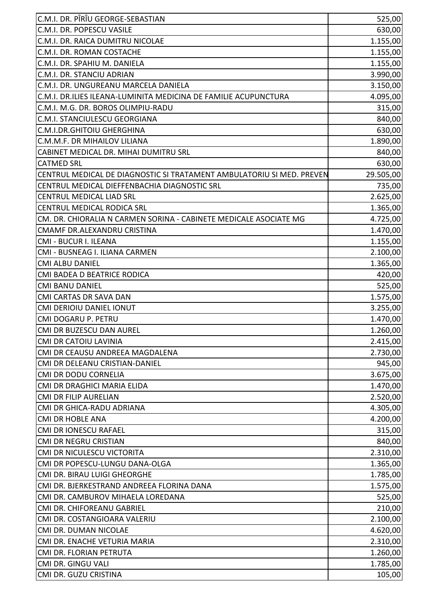| C.M.I. DR. PÎRÎU GEORGE-SEBASTIAN                                     | 525,00    |
|-----------------------------------------------------------------------|-----------|
| C.M.I. DR. POPESCU VASILE                                             | 630,00    |
| C.M.I. DR. RAICA DUMITRU NICOLAE                                      | 1.155,00  |
| C.M.I. DR. ROMAN COSTACHE                                             | 1.155,00  |
| C.M.I. DR. SPAHIU M. DANIELA                                          | 1.155,00  |
| C.M.I. DR. STANCIU ADRIAN                                             | 3.990,00  |
| C.M.I. DR. UNGUREANU MARCELA DANIELA                                  | 3.150,00  |
| C.M.I. DR.ILIES ILEANA-LUMINITA MEDICINA DE FAMILIE ACUPUNCTURA       | 4.095,00  |
| C.M.I. M.G. DR. BOROS OLIMPIU-RADU                                    | 315,00    |
| C.M.I. STANCIULESCU GEORGIANA                                         | 840,00    |
| C.M.I.DR.GHITOIU GHERGHINA                                            | 630,00    |
| C.M.M.F. DR MIHAILOV LILIANA                                          | 1.890,00  |
| CABINET MEDICAL DR. MIHAI DUMITRU SRL                                 | 840,00    |
| <b>CATMED SRL</b>                                                     | 630,00    |
| CENTRUL MEDICAL DE DIAGNOSTIC SI TRATAMENT AMBULATORIU SI MED. PREVEN | 29.505,00 |
| CENTRUL MEDICAL DIEFFENBACHIA DIAGNOSTIC SRL                          | 735,00    |
| <b>CENTRUL MEDICAL LIAD SRL</b>                                       | 2.625,00  |
| <b>CENTRUL MEDICAL RODICA SRL</b>                                     | 1.365,00  |
| CM. DR. CHIORALIA N CARMEN SORINA - CABINETE MEDICALE ASOCIATE MG     | 4.725,00  |
| CMAMF DR.ALEXANDRU CRISTINA                                           | 1.470,00  |
| CMI - BUCUR I. ILEANA                                                 | 1.155,00  |
| CMI - BUSNEAG I. ILIANA CARMEN                                        | 2.100,00  |
| <b>CMI ALBU DANIEL</b>                                                | 1.365,00  |
| CMI BADEA D BEATRICE RODICA                                           | 420,00    |
| <b>CMI BANU DANIEL</b>                                                | 525,00    |
| CMI CARTAS DR SAVA DAN                                                | 1.575,00  |
| <b>CMI DERIOIU DANIEL IONUT</b>                                       | 3.255,00  |
| CMI DOGARU P. PETRU                                                   | 1.470,00  |
| CMI DR BUZESCU DAN AUREL                                              | 1.260,00  |
| CMI DR CATOIU LAVINIA                                                 | 2.415,00  |
| CMI DR CEAUSU ANDREEA MAGDALENA                                       | 2.730,00  |
| CMI DR DELEANU CRISTIAN-DANIEL                                        | 945,00    |
| <b>CMI DR DODU CORNELIA</b>                                           | 3.675,00  |
| CMI DR DRAGHICI MARIA ELIDA                                           | 1.470,00  |
| <b>CMI DR FILIP AURELIAN</b>                                          | 2.520,00  |
| CMI DR GHICA-RADU ADRIANA                                             | 4.305,00  |
| <b>CMI DR HOBLE ANA</b>                                               | 4.200,00  |
| <b>CMI DR IONESCU RAFAEL</b>                                          | 315,00    |
| CMI DR NEGRU CRISTIAN                                                 | 840,00    |
| CMI DR NICULESCU VICTORITA                                            | 2.310,00  |
| CMI DR POPESCU-LUNGU DANA-OLGA                                        | 1.365,00  |
| CMI DR. BIRAU LUIGI GHEORGHE                                          | 1.785,00  |
| CMI DR. BJERKESTRAND ANDREEA FLORINA DANA                             | 1.575,00  |
| CMI DR. CAMBUROV MIHAELA LOREDANA                                     | 525,00    |
| CMI DR. CHIFOREANU GABRIEL                                            | 210,00    |
| CMI DR. COSTANGIOARA VALERIU                                          | 2.100,00  |
| CMI DR. DUMAN NICOLAE                                                 | 4.620,00  |
| CMI DR. ENACHE VETURIA MARIA                                          | 2.310,00  |
| CMI DR. FLORIAN PETRUTA                                               | 1.260,00  |
| CMI DR. GINGU VALI                                                    | 1.785,00  |
| CMI DR. GUZU CRISTINA                                                 | 105,00    |
|                                                                       |           |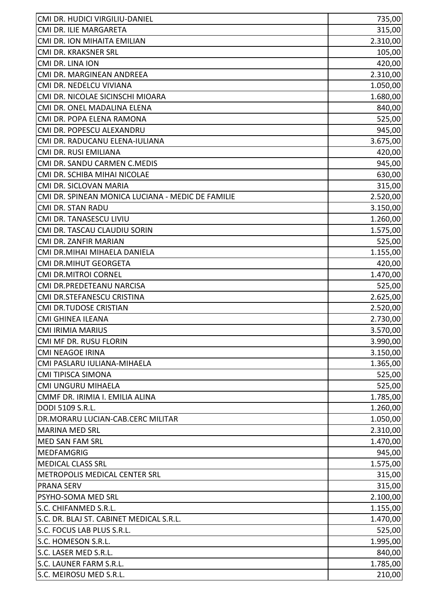| CMI DR. HUDICI VIRGILIU-DANIEL                    | 735,00   |
|---------------------------------------------------|----------|
| CMI DR. ILIE MARGARETA                            | 315,00   |
| CMI DR. ION MIHAITA EMILIAN                       | 2.310,00 |
| CMI DR. KRAKSNER SRL                              | 105,00   |
| CMI DR. LINA ION                                  | 420,00   |
| CMI DR. MARGINEAN ANDREEA                         | 2.310,00 |
| CMI DR. NEDELCU VIVIANA                           | 1.050,00 |
| CMI DR. NICOLAE SICINSCHI MIOARA                  | 1.680,00 |
| CMI DR. ONEL MADALINA ELENA                       | 840,00   |
| CMI DR. POPA ELENA RAMONA                         | 525,00   |
| CMI DR. POPESCU ALEXANDRU                         | 945,00   |
| CMI DR. RADUCANU ELENA-IULIANA                    | 3.675,00 |
| CMI DR. RUSI EMILIANA                             | 420,00   |
| CMI DR. SANDU CARMEN C.MEDIS                      | 945,00   |
| CMI DR. SCHIBA MIHAI NICOLAE                      | 630,00   |
| CMI DR. SICLOVAN MARIA                            | 315,00   |
| CMI DR. SPINEAN MONICA LUCIANA - MEDIC DE FAMILIE | 2.520,00 |
| CMI DR. STAN RADU                                 | 3.150,00 |
| CMI DR. TANASESCU LIVIU                           | 1.260,00 |
| CMI DR. TASCAU CLAUDIU SORIN                      | 1.575,00 |
| CMI DR. ZANFIR MARIAN                             | 525,00   |
| CMI DR.MIHAI MIHAELA DANIELA                      | 1.155,00 |
| CMI DR.MIHUT GEORGETA                             | 420,00   |
| <b>CMI DR.MITROI CORNEL</b>                       | 1.470,00 |
| CMI DR.PREDETEANU NARCISA                         | 525,00   |
| CMI DR.STEFANESCU CRISTINA                        | 2.625,00 |
| CMI DR.TUDOSE CRISTIAN                            | 2.520,00 |
| <b>CMI GHINEA ILEANA</b>                          | 2.730,00 |
| <b>CMI IRIMIA MARIUS</b>                          | 3.570,00 |
| CMI MF DR. RUSU FLORIN                            | 3.990,00 |
| <b>CMI NEAGOE IRINA</b>                           | 3.150,00 |
| CMI PASLARU IULIANA-MIHAELA                       | 1.365,00 |
| <b>CMI TIPISCA SIMONA</b>                         | 525,00   |
| CMI UNGURU MIHAELA                                | 525,00   |
| CMMF DR. IRIMIA I. EMILIA ALINA                   | 1.785,00 |
| DODI 5109 S.R.L.                                  | 1.260,00 |
| DR.MORARU LUCIAN-CAB.CERC MILITAR                 | 1.050,00 |
| <b>MARINA MED SRL</b>                             | 2.310,00 |
| <b>MED SAN FAM SRL</b>                            | 1.470,00 |
| <b>MEDFAMGRIG</b>                                 | 945,00   |
| <b>MEDICAL CLASS SRL</b>                          | 1.575,00 |
| METROPOLIS MEDICAL CENTER SRL                     | 315,00   |
| <b>PRANA SERV</b>                                 | 315,00   |
| PSYHO-SOMA MED SRL                                | 2.100,00 |
| S.C. CHIFANMED S.R.L.                             | 1.155,00 |
| S.C. DR. BLAJ ST. CABINET MEDICAL S.R.L.          | 1.470,00 |
| S.C. FOCUS LAB PLUS S.R.L.                        | 525,00   |
| S.C. HOMESON S.R.L.                               | 1.995,00 |
| S.C. LASER MED S.R.L.                             | 840,00   |
| S.C. LAUNER FARM S.R.L.                           | 1.785,00 |
| S.C. MEIROSU MED S.R.L.                           |          |
|                                                   | 210,00   |